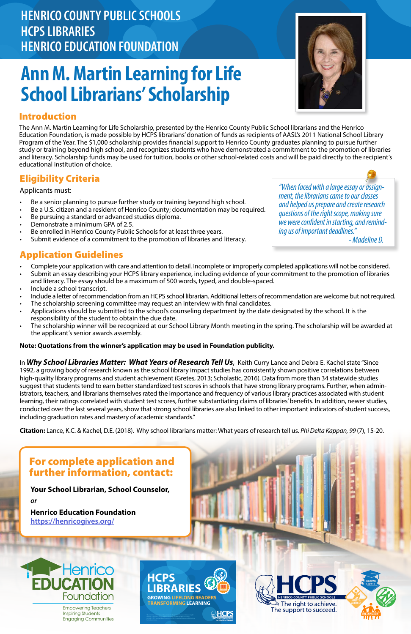# **Ann M. Martin Learning for Life School Librarians' Scholarship**

- Be a senior planning to pursue further study or training beyond high school.
- Be a U.S. citizen and a resident of Henrico County; documentation may be required.
- Be pursuing a standard or advanced studies diploma.
- Demonstrate a minimum GPA of 2.5.
- Be enrolled in Henrico County Public Schools for at least three years.
- Submit evidence of a commitment to the promotion of libraries and literacy.

# **HENRICO COUNTY PUBLIC SCHOOLS HCPS LIBRARIES HENRICO EDUCATION FOUNDATION**

# Eligibility Criteria

Applicants must:

### Introduction

The Ann M. Martin Learning for Life Scholarship, presented by the Henrico County Public School librarians and the Henrico Education Foundation, is made possible by HCPS librarians' donation of funds as recipients of AASL's 2011 National School Library Program of the Year. The \$1,000 scholarship provides financial support to Henrico County graduates planning to pursue further study or training beyond high school, and recognizes students who have demonstrated a commitment to the promotion of libraries and literacy. Scholarship funds may be used for tuition, books or other school-related costs and will be paid directly to the recipient's educational institution of choice.

# Application Guidelines

- Complete your application with care and attention to detail. Incomplete or improperly completed applications will not be considered.
- Submit an essay describing your HCPS library experience, including evidence of your commitment to the promotion of libraries and literacy. The essay should be a maximum of 500 words, typed, and double-spaced.
- Include a school transcript.
- Include a letter of recommendation from an HCPS school librarian. Additional letters of recommendation are welcome but not required.
- The scholarship screening committee may request an interview with final candidates.
- Applications should be submitted to the school's counseling department by the date designated by the school. It is the responsibility of the student to obtain the due date.
- The scholarship winner will be recognized at our School Library Month meeting in the spring. The scholarship will be awarded at the applicant's senior awards assembly.

### **Note: Quotations from the winner's application may be used in Foundation publicity.**



**AHCPS** 

**GROWING LIFELONG READERS TRANSFORMING LEARNING**





### For complete application and

# further information, contact:



 *- Madeline D.*

In *Why School Libraries Matter: What Years of Research Tell Us*, Keith Curry Lance and Debra E. Kachel state "Since 1992, a growing body of research known as the school library impact studies has consistently shown positive correlations between high-quality library programs and student achievement (Gretes, 2013; Scholastic, 2016). Data from more than 34 statewide studies suggest that students tend to earn better standardized test scores in schools that have strong library programs. Further, when administrators, teachers, and librarians themselves rated the importance and frequency of various library practices associated with student learning, their ratings correlated with student test scores, further substantiating claims of libraries' benefits. In addition, newer studies, conducted over the last several years, show that strong school libraries are also linked to other important indicators of student success, including graduation rates and mastery of academic standards."

**Citation:** Lance, K.C. & Kachel, D.E. (2018). Why school librarians matter: What years of research tell us. *Phi Delta Kappan, 99* (7), 15-20.



**Your School Librarian, School Counselor,** *or*

### **Henrico Education Foundation [https://henricogives.org/](http://henricofoundation.org/)**



**Empowering Teachers Inspiring Students Engaging Communities**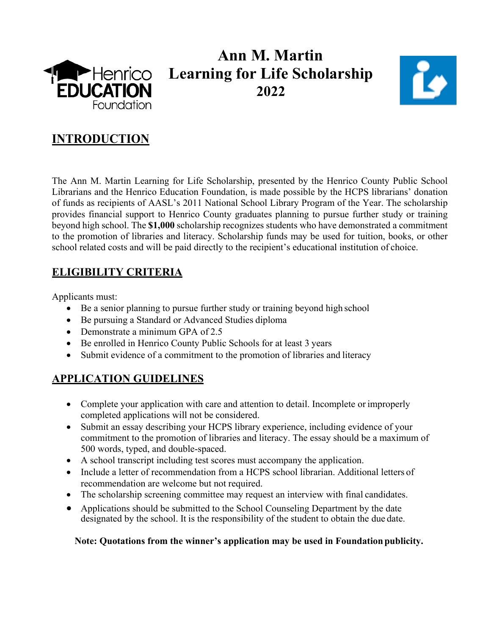

## **Ann M. Martin Learning for Life Scholarship 2022**



### **INTRODUCTION**

The Ann M. Martin Learning for Life Scholarship, presented by the Henrico County Public School Librarians and the Henrico Education Foundation, is made possible by the HCPS librarians' donation of funds as recipients of AASL's 2011 National School Library Program of the Year. The scholarship provides financial support to Henrico County graduates planning to pursue further study or training beyond high school. The **\$1,000** scholarship recognizes students who have demonstrated a commitment to the promotion of libraries and literacy. Scholarship funds may be used for tuition, books, or other school related costs and will be paid directly to the recipient's educational institution of choice.

### **ELIGIBILITY CRITERIA**

Applicants must:

- Be a senior planning to pursue further study or training beyond high school
- Be pursuing a Standard or Advanced Studies diploma
- Demonstrate a minimum GPA of 2.5
- Be enrolled in Henrico County Public Schools for at least 3 years
- Submit evidence of a commitment to the promotion of libraries and literacy

### **APPLICATION GUIDELINES**

- Complete your application with care and attention to detail. Incomplete or improperly completed applications will not be considered.
- Submit an essay describing your HCPS library experience, including evidence of your commitment to the promotion of libraries and literacy. The essay should be a maximum of 500 words, typed, and double-spaced.
- A school transcript including test scores must accompany the application.
- Include a letter of recommendation from a HCPS school librarian. Additional letters of recommendation are welcome but not required.
- The scholarship screening committee may request an interview with final candidates.
- Applications should be submitted to the School Counseling Department by the date designated by the school. It is the responsibility of the student to obtain the due date.

#### **Note: Quotations from the winner's application may be used in Foundationpublicity.**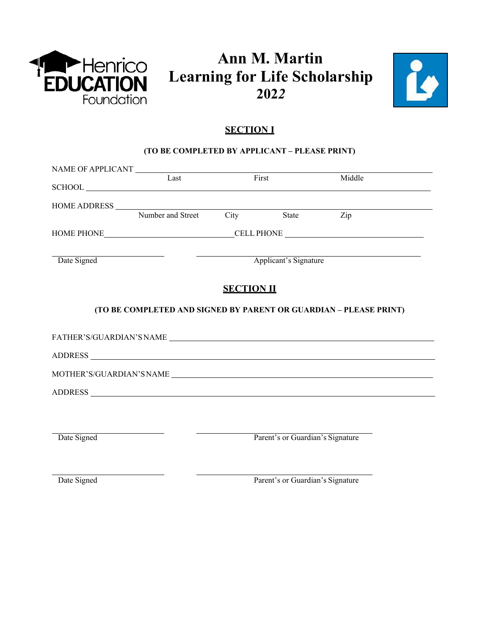

### **Ann M. Martin Learning for Life Scholarship 202***2*



#### **SECTION I**

#### **(TO BE COMPLETED BY APPLICANT – PLEASE PRINT)**

|             | Last                                | First             |                                  | Middle                                                            |
|-------------|-------------------------------------|-------------------|----------------------------------|-------------------------------------------------------------------|
|             |                                     |                   |                                  |                                                                   |
|             |                                     |                   |                                  |                                                                   |
|             | HOME ADDRESS Number and Street City |                   | State Zip                        |                                                                   |
|             |                                     |                   |                                  |                                                                   |
| Date Signed |                                     |                   | Applicant's Signature            | <u> 1989 - Johann Barn, fransk politik (d. 1989)</u>              |
|             |                                     | <b>SECTION II</b> |                                  |                                                                   |
|             |                                     |                   |                                  |                                                                   |
|             |                                     |                   |                                  | (TO BE COMPLETED AND SIGNED BY PARENT OR GUARDIAN - PLEASE PRINT) |
|             |                                     |                   |                                  |                                                                   |
|             |                                     |                   |                                  |                                                                   |
|             |                                     |                   |                                  |                                                                   |
|             |                                     |                   |                                  |                                                                   |
|             |                                     |                   |                                  |                                                                   |
|             |                                     |                   |                                  |                                                                   |
| Date Signed |                                     |                   | Parent's or Guardian's Signature |                                                                   |
|             |                                     |                   |                                  |                                                                   |

Date Signed Parent's or Guardian's Signature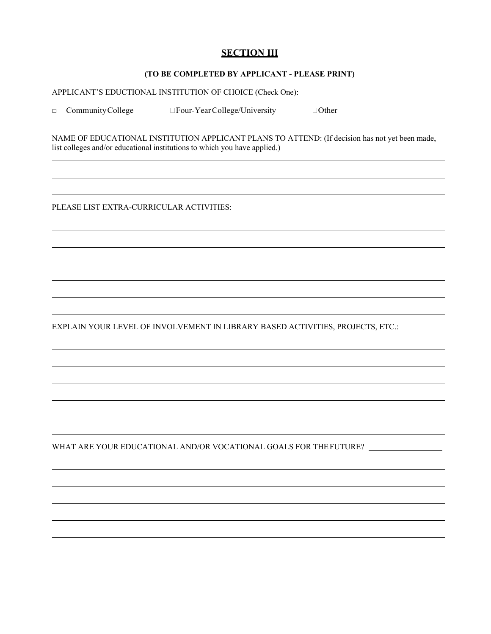#### **SECTION III**

#### **(TO BE COMPLETED BY APPLICANT - PLEASE PRINT)**

APPLICANT'S EDUCTIONAL INSTITUTION OF CHOICE (Check One):

□ Community College IFour-Year College/University IOther

NAME OF EDUCATIONAL INSTITUTION APPLICANT PLANS TO ATTEND: (If decision has not yet been made, list colleges and/or educational institutions to which you have applied.)

PLEASE LIST EXTRA-CURRICULAR ACTIVITIES:

EXPLAIN YOUR LEVEL OF INVOLVEMENT IN LIBRARY BASED ACTIVITIES, PROJECTS, ETC.:

WHAT ARE YOUR EDUCATIONAL AND/OR VOCATIONAL GOALS FOR THEFUTURE?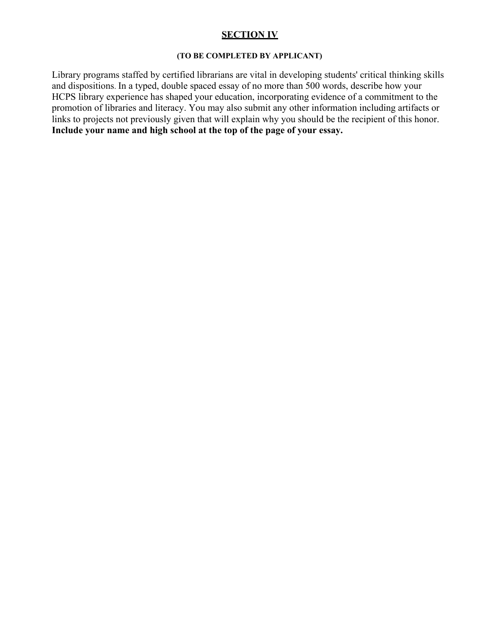#### **SECTION IV**

#### **(TO BE COMPLETED BY APPLICANT)**

Library programs staffed by certified librarians are vital in developing students' critical thinking skills and dispositions. In a typed, double spaced essay of no more than 500 words, describe how your HCPS library experience has shaped your education, incorporating evidence of a commitment to the promotion of libraries and literacy. You may also submit any other information including artifacts or links to projects not previously given that will explain why you should be the recipient of this honor. **Include your name and high school at the top of the page of your essay.**